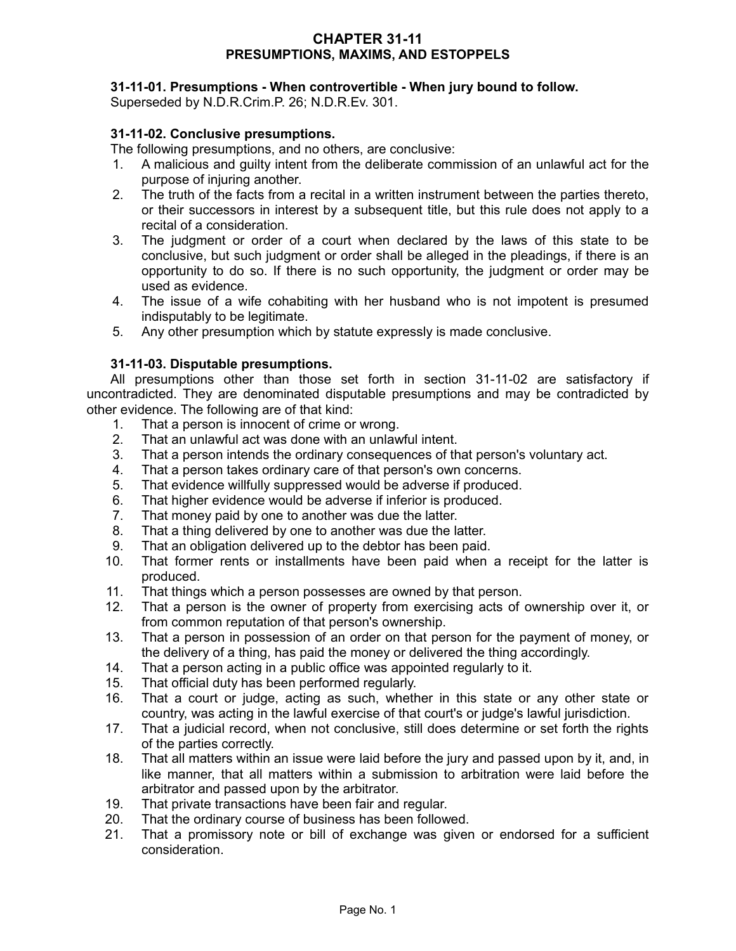## **CHAPTER 31-11 PRESUMPTIONS, MAXIMS, AND ESTOPPELS**

### **31-11-01. Presumptions - When controvertible - When jury bound to follow.**

Superseded by N.D.R.Crim.P. 26; N.D.R.Ev. 301.

## **31-11-02. Conclusive presumptions.**

The following presumptions, and no others, are conclusive:

- 1. A malicious and guilty intent from the deliberate commission of an unlawful act for the purpose of injuring another.
- 2. The truth of the facts from a recital in a written instrument between the parties thereto, or their successors in interest by a subsequent title, but this rule does not apply to a recital of a consideration.
- 3. The judgment or order of a court when declared by the laws of this state to be conclusive, but such judgment or order shall be alleged in the pleadings, if there is an opportunity to do so. If there is no such opportunity, the judgment or order may be used as evidence.
- 4. The issue of a wife cohabiting with her husband who is not impotent is presumed indisputably to be legitimate.
- 5. Any other presumption which by statute expressly is made conclusive.

## **31-11-03. Disputable presumptions.**

All presumptions other than those set forth in section 31-11-02 are satisfactory if uncontradicted. They are denominated disputable presumptions and may be contradicted by other evidence. The following are of that kind:

- 1. That a person is innocent of crime or wrong.
- 2. That an unlawful act was done with an unlawful intent.
- 3. That a person intends the ordinary consequences of that person's voluntary act.
- 4. That a person takes ordinary care of that person's own concerns.
- 5. That evidence willfully suppressed would be adverse if produced.
- 6. That higher evidence would be adverse if inferior is produced.
- 7. That money paid by one to another was due the latter.
- 8. That a thing delivered by one to another was due the latter.
- 9. That an obligation delivered up to the debtor has been paid.
- 10. That former rents or installments have been paid when a receipt for the latter is produced.
- 11. That things which a person possesses are owned by that person.
- 12. That a person is the owner of property from exercising acts of ownership over it, or from common reputation of that person's ownership.
- 13. That a person in possession of an order on that person for the payment of money, or the delivery of a thing, has paid the money or delivered the thing accordingly.
- 14. That a person acting in a public office was appointed regularly to it.
- 15. That official duty has been performed regularly.
- 16. That a court or judge, acting as such, whether in this state or any other state or country, was acting in the lawful exercise of that court's or judge's lawful jurisdiction.
- 17. That a judicial record, when not conclusive, still does determine or set forth the rights of the parties correctly.
- 18. That all matters within an issue were laid before the jury and passed upon by it, and, in like manner, that all matters within a submission to arbitration were laid before the arbitrator and passed upon by the arbitrator.
- 19. That private transactions have been fair and regular.
- 20. That the ordinary course of business has been followed.
- 21. That a promissory note or bill of exchange was given or endorsed for a sufficient consideration.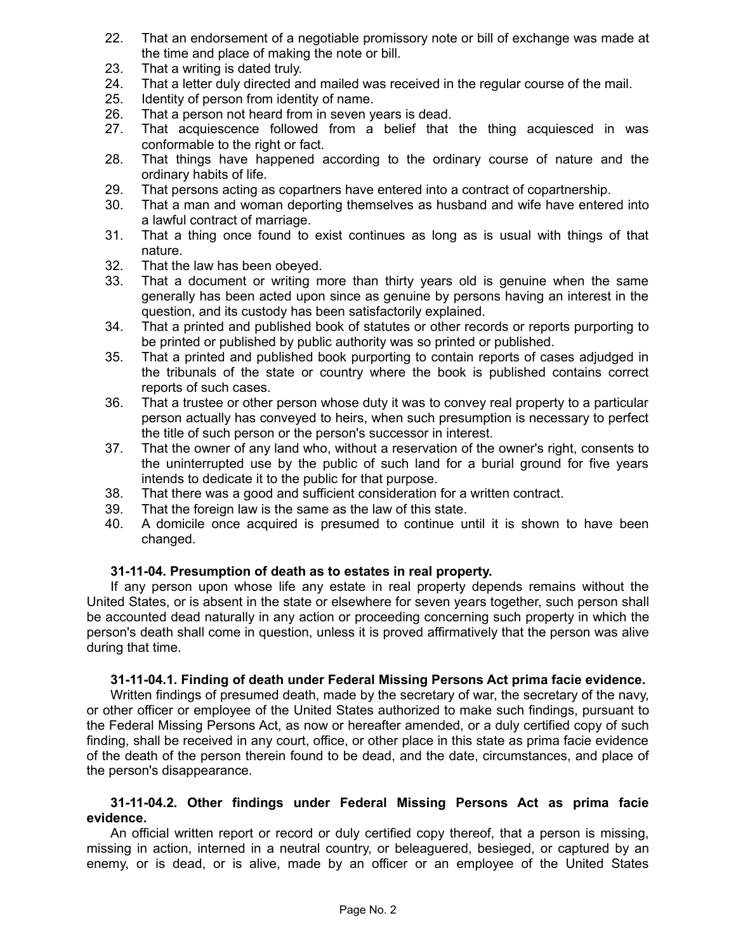- 22. That an endorsement of a negotiable promissory note or bill of exchange was made at the time and place of making the note or bill.
- 23. That a writing is dated truly.
- 24. That a letter duly directed and mailed was received in the regular course of the mail.
- 25. Identity of person from identity of name.
- 26. That a person not heard from in seven years is dead.
- 27. That acquiescence followed from a belief that the thing acquiesced in was conformable to the right or fact.
- 28. That things have happened according to the ordinary course of nature and the ordinary habits of life.
- 29. That persons acting as copartners have entered into a contract of copartnership.
- 30. That a man and woman deporting themselves as husband and wife have entered into a lawful contract of marriage.
- 31. That a thing once found to exist continues as long as is usual with things of that nature.
- 32. That the law has been obeyed.
- 33. That a document or writing more than thirty years old is genuine when the same generally has been acted upon since as genuine by persons having an interest in the question, and its custody has been satisfactorily explained.
- 34. That a printed and published book of statutes or other records or reports purporting to be printed or published by public authority was so printed or published.
- 35. That a printed and published book purporting to contain reports of cases adjudged in the tribunals of the state or country where the book is published contains correct reports of such cases.
- 36. That a trustee or other person whose duty it was to convey real property to a particular person actually has conveyed to heirs, when such presumption is necessary to perfect the title of such person or the person's successor in interest.
- 37. That the owner of any land who, without a reservation of the owner's right, consents to the uninterrupted use by the public of such land for a burial ground for five years intends to dedicate it to the public for that purpose.
- 38. That there was a good and sufficient consideration for a written contract.
- 39. That the foreign law is the same as the law of this state.
- 40. A domicile once acquired is presumed to continue until it is shown to have been changed.

#### **31-11-04. Presumption of death as to estates in real property.**

If any person upon whose life any estate in real property depends remains without the United States, or is absent in the state or elsewhere for seven years together, such person shall be accounted dead naturally in any action or proceeding concerning such property in which the person's death shall come in question, unless it is proved affirmatively that the person was alive during that time.

#### **31-11-04.1. Finding of death under Federal Missing Persons Act prima facie evidence.**

Written findings of presumed death, made by the secretary of war, the secretary of the navy, or other officer or employee of the United States authorized to make such findings, pursuant to the Federal Missing Persons Act, as now or hereafter amended, or a duly certified copy of such finding, shall be received in any court, office, or other place in this state as prima facie evidence of the death of the person therein found to be dead, and the date, circumstances, and place of the person's disappearance.

#### **31-11-04.2. Other findings under Federal Missing Persons Act as prima facie evidence.**

An official written report or record or duly certified copy thereof, that a person is missing, missing in action, interned in a neutral country, or beleaguered, besieged, or captured by an enemy, or is dead, or is alive, made by an officer or an employee of the United States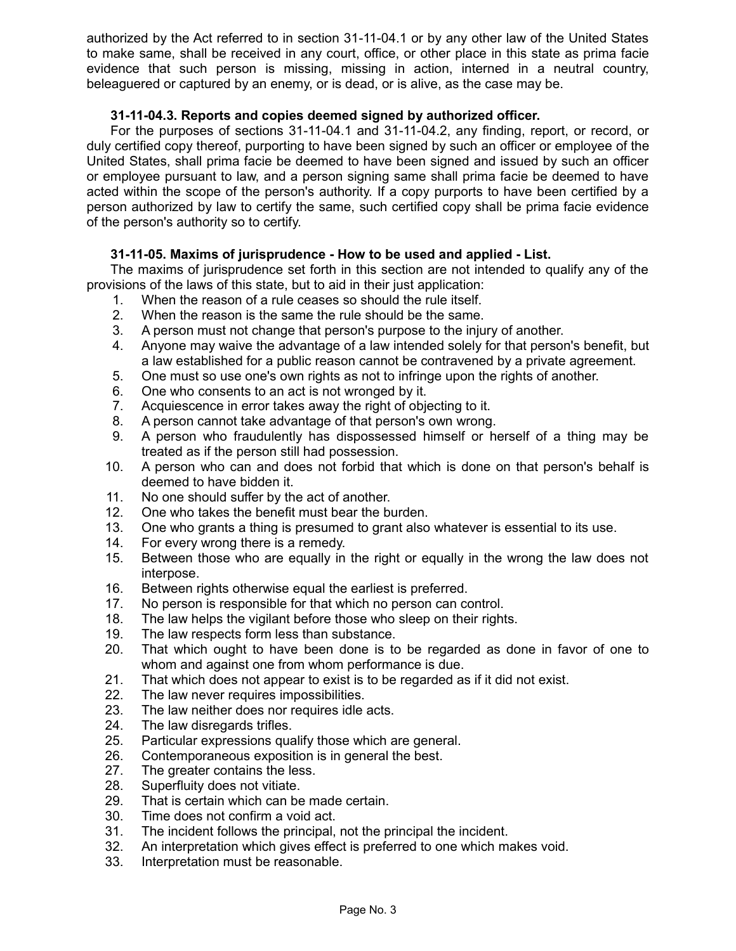authorized by the Act referred to in section 31-11-04.1 or by any other law of the United States to make same, shall be received in any court, office, or other place in this state as prima facie evidence that such person is missing, missing in action, interned in a neutral country, beleaguered or captured by an enemy, or is dead, or is alive, as the case may be.

## **31-11-04.3. Reports and copies deemed signed by authorized officer.**

For the purposes of sections 31-11-04.1 and 31-11-04.2, any finding, report, or record, or duly certified copy thereof, purporting to have been signed by such an officer or employee of the United States, shall prima facie be deemed to have been signed and issued by such an officer or employee pursuant to law, and a person signing same shall prima facie be deemed to have acted within the scope of the person's authority. If a copy purports to have been certified by a person authorized by law to certify the same, such certified copy shall be prima facie evidence of the person's authority so to certify.

# **31-11-05. Maxims of jurisprudence - How to be used and applied - List.**

The maxims of jurisprudence set forth in this section are not intended to qualify any of the provisions of the laws of this state, but to aid in their just application:

- 1. When the reason of a rule ceases so should the rule itself.
- 2. When the reason is the same the rule should be the same.
- 3. A person must not change that person's purpose to the injury of another.
- 4. Anyone may waive the advantage of a law intended solely for that person's benefit, but a law established for a public reason cannot be contravened by a private agreement.
- 5. One must so use one's own rights as not to infringe upon the rights of another.
- 6. One who consents to an act is not wronged by it.
- 7. Acquiescence in error takes away the right of objecting to it.
- 8. A person cannot take advantage of that person's own wrong.
- 9. A person who fraudulently has dispossessed himself or herself of a thing may be treated as if the person still had possession.
- 10. A person who can and does not forbid that which is done on that person's behalf is deemed to have bidden it.
- 11. No one should suffer by the act of another.
- 12. One who takes the benefit must bear the burden.
- 13. One who grants a thing is presumed to grant also whatever is essential to its use.
- 14. For every wrong there is a remedy.
- 15. Between those who are equally in the right or equally in the wrong the law does not interpose.
- 16. Between rights otherwise equal the earliest is preferred.
- 17. No person is responsible for that which no person can control.
- 18. The law helps the vigilant before those who sleep on their rights.
- 19. The law respects form less than substance.
- 20. That which ought to have been done is to be regarded as done in favor of one to whom and against one from whom performance is due.
- 21. That which does not appear to exist is to be regarded as if it did not exist.
- 22. The law never requires impossibilities.
- 23. The law neither does nor requires idle acts.
- 24. The law disregards trifles.
- 25. Particular expressions qualify those which are general.
- 26. Contemporaneous exposition is in general the best.
- 27. The greater contains the less.
- 28. Superfluity does not vitiate.
- 29. That is certain which can be made certain.
- 30. Time does not confirm a void act.
- 31. The incident follows the principal, not the principal the incident.
- 32. An interpretation which gives effect is preferred to one which makes void.
- 33. Interpretation must be reasonable.